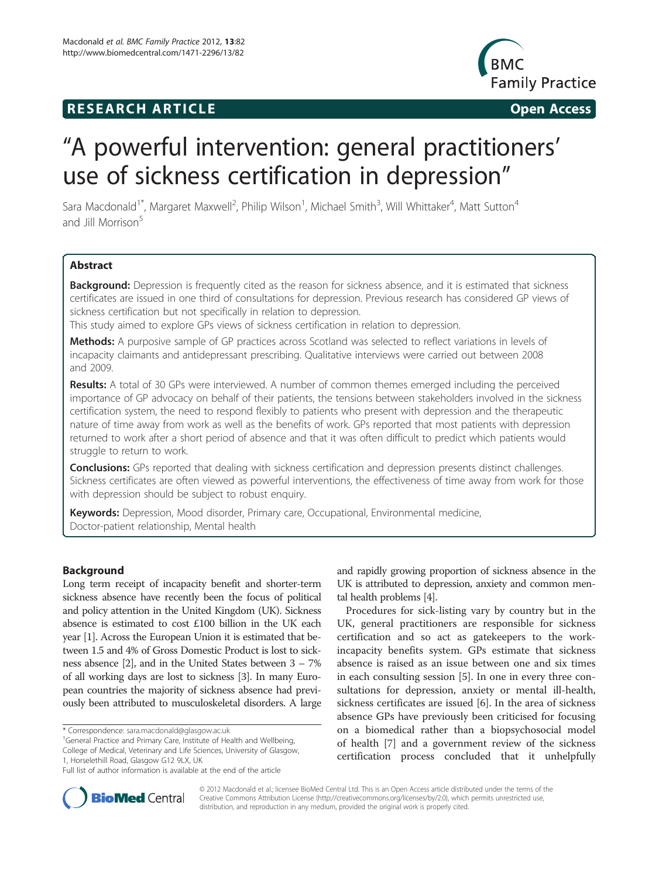# **RESEARCH ARTICLE Example 2014 12:30 The SEAR CHA RESEARCH ARTICLE**



# "A powerful intervention: general practitioners' use of sickness certification in depression"

Sara Macdonald<sup>1\*</sup>, Margaret Maxwell<sup>2</sup>, Philip Wilson<sup>1</sup>, Michael Smith<sup>3</sup>, Will Whittaker<sup>4</sup>, Matt Sutton<sup>4</sup> and Jill Morrison<sup>5</sup>

# **Abstract**

Background: Depression is frequently cited as the reason for sickness absence, and it is estimated that sickness certificates are issued in one third of consultations for depression. Previous research has considered GP views of sickness certification but not specifically in relation to depression.

This study aimed to explore GPs views of sickness certification in relation to depression.

Methods: A purposive sample of GP practices across Scotland was selected to reflect variations in levels of incapacity claimants and antidepressant prescribing. Qualitative interviews were carried out between 2008 and 2009.

Results: A total of 30 GPs were interviewed. A number of common themes emerged including the perceived importance of GP advocacy on behalf of their patients, the tensions between stakeholders involved in the sickness certification system, the need to respond flexibly to patients who present with depression and the therapeutic nature of time away from work as well as the benefits of work. GPs reported that most patients with depression returned to work after a short period of absence and that it was often difficult to predict which patients would struggle to return to work.

**Conclusions:** GPs reported that dealing with sickness certification and depression presents distinct challenges. Sickness certificates are often viewed as powerful interventions, the effectiveness of time away from work for those with depression should be subject to robust enquiry.

Keywords: Depression, Mood disorder, Primary care, Occupational, Environmental medicine, Doctor-patient relationship, Mental health

# Background

Long term receipt of incapacity benefit and shorter-term sickness absence have recently been the focus of political and policy attention in the United Kingdom (UK). Sickness absence is estimated to cost £100 billion in the UK each year [[1](#page-7-0)]. Across the European Union it is estimated that between 1.5 and 4% of Gross Domestic Product is lost to sickness absence [\[2](#page-7-0)], and in the United States between 3 – 7% of all working days are lost to sickness [\[3\]](#page-7-0). In many European countries the majority of sickness absence had previously been attributed to musculoskeletal disorders. A large

\* Correspondence: [sara.macdonald@glasgow.ac.uk](mailto:sara.macdonald@glasgow.ac.uk) <sup>1</sup>

<sup>1</sup>General Practice and Primary Care, Institute of Health and Wellbeing, College of Medical, Veterinary and Life Sciences, University of Glasgow, 1, Horselethill Road, Glasgow G12 9LX, UK

and rapidly growing proportion of sickness absence in the UK is attributed to depression, anxiety and common mental health problems [[4](#page-7-0)].

Procedures for sick-listing vary by country but in the UK, general practitioners are responsible for sickness certification and so act as gatekeepers to the workincapacity benefits system. GPs estimate that sickness absence is raised as an issue between one and six times in each consulting session [[5\]](#page-7-0). In one in every three consultations for depression, anxiety or mental ill-health, sickness certificates are issued [\[6\]](#page-7-0). In the area of sickness absence GPs have previously been criticised for focusing on a biomedical rather than a biopsychosocial model of health [\[7](#page-8-0)] and a government review of the sickness certification process concluded that it unhelpfully



© 2012 Macdonald et al.; licensee BioMed Central Ltd. This is an Open Access article distributed under the terms of the Creative Commons Attribution License (<http://creativecommons.org/licenses/by/2.0>), which permits unrestricted use, distribution, and reproduction in any medium, provided the original work is properly cited.

Full list of author information is available at the end of the article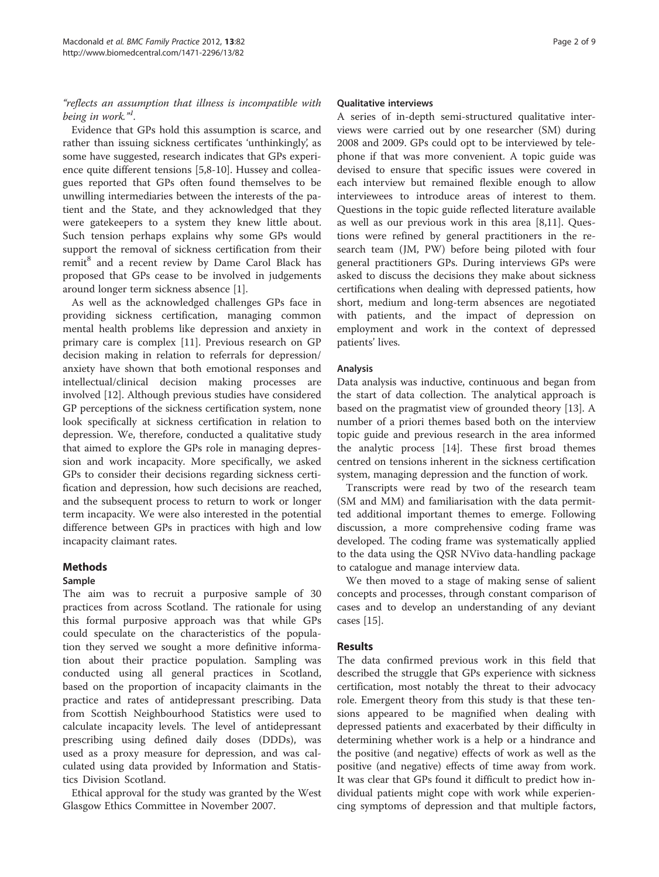"reflects an assumption that illness is incompatible with being in work."<sup>1</sup>.

Evidence that GPs hold this assumption is scarce, and rather than issuing sickness certificates 'unthinkingly', as some have suggested, research indicates that GPs experience quite different tensions [\[5](#page-7-0),[8-10\]](#page-8-0). Hussey and colleagues reported that GPs often found themselves to be unwilling intermediaries between the interests of the patient and the State, and they acknowledged that they were gatekeepers to a system they knew little about. Such tension perhaps explains why some GPs would support the removal of sickness certification from their remit<sup>8</sup> and a recent review by Dame Carol Black has proposed that GPs cease to be involved in judgements around longer term sickness absence [[1\]](#page-7-0).

As well as the acknowledged challenges GPs face in providing sickness certification, managing common mental health problems like depression and anxiety in primary care is complex [\[11](#page-8-0)]. Previous research on GP decision making in relation to referrals for depression/ anxiety have shown that both emotional responses and intellectual/clinical decision making processes are involved [[12\]](#page-8-0). Although previous studies have considered GP perceptions of the sickness certification system, none look specifically at sickness certification in relation to depression. We, therefore, conducted a qualitative study that aimed to explore the GPs role in managing depression and work incapacity. More specifically, we asked GPs to consider their decisions regarding sickness certification and depression, how such decisions are reached, and the subsequent process to return to work or longer term incapacity. We were also interested in the potential difference between GPs in practices with high and low incapacity claimant rates.

# Methods

# Sample

The aim was to recruit a purposive sample of 30 practices from across Scotland. The rationale for using this formal purposive approach was that while GPs could speculate on the characteristics of the population they served we sought a more definitive information about their practice population. Sampling was conducted using all general practices in Scotland, based on the proportion of incapacity claimants in the practice and rates of antidepressant prescribing. Data from Scottish Neighbourhood Statistics were used to calculate incapacity levels. The level of antidepressant prescribing using defined daily doses (DDDs), was used as a proxy measure for depression, and was calculated using data provided by Information and Statistics Division Scotland.

Ethical approval for the study was granted by the West Glasgow Ethics Committee in November 2007.

#### Qualitative interviews

A series of in-depth semi-structured qualitative interviews were carried out by one researcher (SM) during 2008 and 2009. GPs could opt to be interviewed by telephone if that was more convenient. A topic guide was devised to ensure that specific issues were covered in each interview but remained flexible enough to allow interviewees to introduce areas of interest to them. Questions in the topic guide reflected literature available as well as our previous work in this area [\[8,11](#page-8-0)]. Questions were refined by general practitioners in the research team (JM, PW) before being piloted with four general practitioners GPs. During interviews GPs were asked to discuss the decisions they make about sickness certifications when dealing with depressed patients, how short, medium and long-term absences are negotiated with patients, and the impact of depression on employment and work in the context of depressed patients' lives.

#### Analysis

Data analysis was inductive, continuous and began from the start of data collection. The analytical approach is based on the pragmatist view of grounded theory [\[13](#page-8-0)]. A number of a priori themes based both on the interview topic guide and previous research in the area informed the analytic process [[14\]](#page-8-0). These first broad themes centred on tensions inherent in the sickness certification system, managing depression and the function of work.

Transcripts were read by two of the research team (SM and MM) and familiarisation with the data permitted additional important themes to emerge. Following discussion, a more comprehensive coding frame was developed. The coding frame was systematically applied to the data using the QSR NVivo data-handling package to catalogue and manage interview data.

We then moved to a stage of making sense of salient concepts and processes, through constant comparison of cases and to develop an understanding of any deviant cases [[15\]](#page-8-0).

# Results

The data confirmed previous work in this field that described the struggle that GPs experience with sickness certification, most notably the threat to their advocacy role. Emergent theory from this study is that these tensions appeared to be magnified when dealing with depressed patients and exacerbated by their difficulty in determining whether work is a help or a hindrance and the positive (and negative) effects of work as well as the positive (and negative) effects of time away from work. It was clear that GPs found it difficult to predict how individual patients might cope with work while experiencing symptoms of depression and that multiple factors,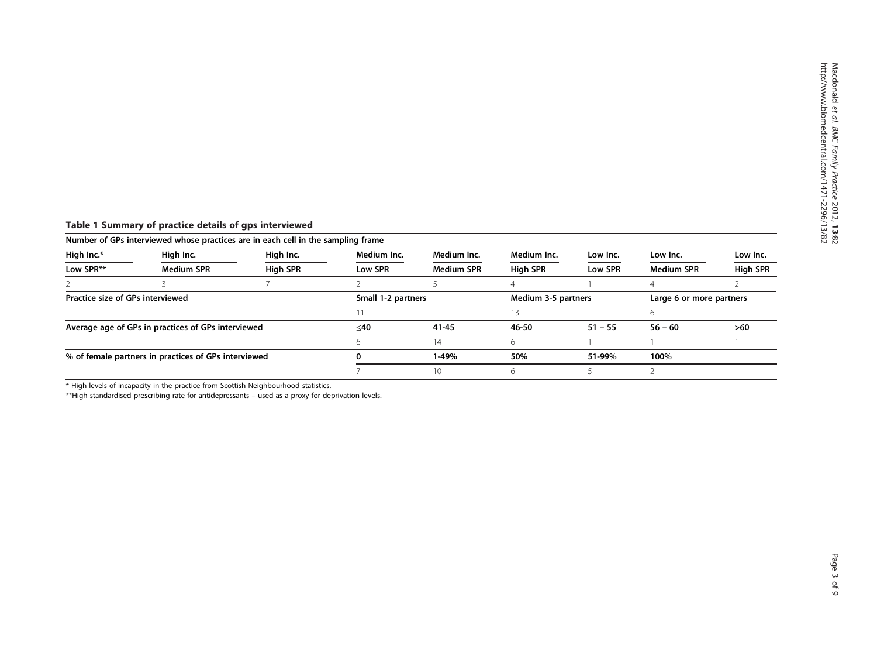#### <span id="page-2-0"></span>Table <sup>1</sup> Summary of practice details of gps interviewed

| Number of GPs interviewed whose practices are in each cell in the sampling frame |                   |                 |                    |                   |                     |           |                          |                 |
|----------------------------------------------------------------------------------|-------------------|-----------------|--------------------|-------------------|---------------------|-----------|--------------------------|-----------------|
| High Inc.*                                                                       | High Inc.         | High Inc.       | Medium Inc.        | Medium Inc.       | Medium Inc.         | Low Inc.  | Low Inc.                 | Low Inc.        |
| Low SPR**                                                                        | <b>Medium SPR</b> | <b>High SPR</b> | Low SPR            | <b>Medium SPR</b> | High SPR            | Low SPR   | <b>Medium SPR</b>        | <b>High SPR</b> |
|                                                                                  |                   |                 |                    |                   |                     |           |                          |                 |
| Practice size of GPs interviewed                                                 |                   |                 | Small 1-2 partners |                   | Medium 3-5 partners |           | Large 6 or more partners |                 |
|                                                                                  |                   |                 |                    |                   |                     |           |                          |                 |
| Average age of GPs in practices of GPs interviewed                               |                   |                 | $<$ 40             | 41-45             | 46-50               | $51 - 55$ | $56 - 60$                | >60             |
|                                                                                  |                   |                 |                    | 14                |                     |           |                          |                 |
| % of female partners in practices of GPs interviewed                             |                   |                 |                    | 1-49%             | 50%                 | 51-99%    | 100%                     |                 |
|                                                                                  |                   |                 |                    | 10                |                     |           |                          |                 |

\* High levels of incapacity in the practice from Scottish Neighbourhood statistics.

\*\*High standardised prescribing rate for antidepressants – used as <sup>a</sup> proxy for deprivation levels.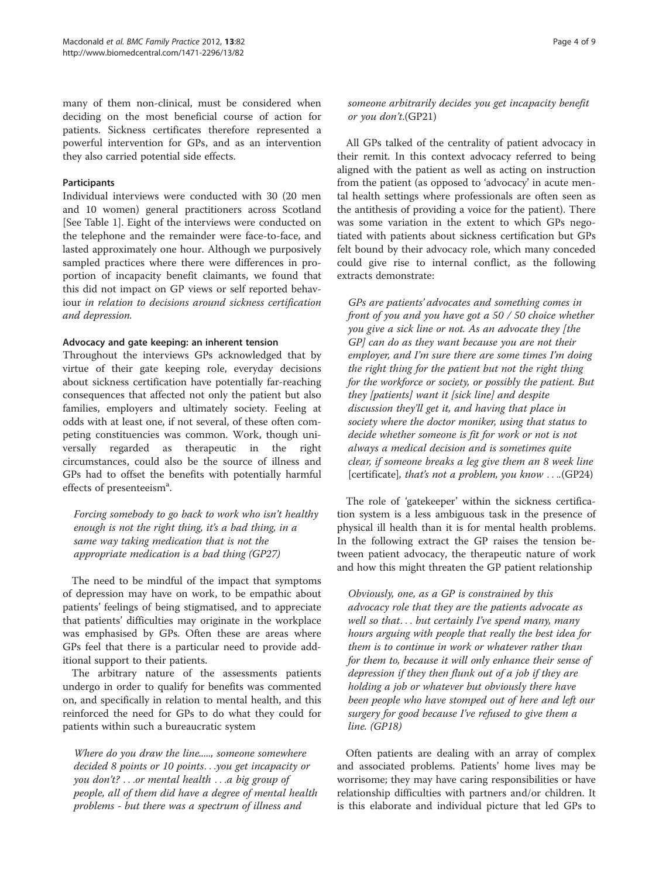many of them non-clinical, must be considered when deciding on the most beneficial course of action for patients. Sickness certificates therefore represented a powerful intervention for GPs, and as an intervention they also carried potential side effects.

#### Participants

Individual interviews were conducted with 30 (20 men and 10 women) general practitioners across Scotland [See Table [1\]](#page-2-0). Eight of the interviews were conducted on the telephone and the remainder were face-to-face, and lasted approximately one hour. Although we purposively sampled practices where there were differences in proportion of incapacity benefit claimants, we found that this did not impact on GP views or self reported behaviour in relation to decisions around sickness certification and depression.

#### Advocacy and gate keeping: an inherent tension

Throughout the interviews GPs acknowledged that by virtue of their gate keeping role, everyday decisions about sickness certification have potentially far-reaching consequences that affected not only the patient but also families, employers and ultimately society. Feeling at odds with at least one, if not several, of these often competing constituencies was common. Work, though universally regarded as therapeutic in the right circumstances, could also be the source of illness and GPs had to offset the benefits with potentially harmful effects of presenteeism<sup>a</sup>.

Forcing somebody to go back to work who isn't healthy enough is not the right thing, it's a bad thing, in a same way taking medication that is not the appropriate medication is a bad thing (GP27)

The need to be mindful of the impact that symptoms of depression may have on work, to be empathic about patients' feelings of being stigmatised, and to appreciate that patients' difficulties may originate in the workplace was emphasised by GPs. Often these are areas where GPs feel that there is a particular need to provide additional support to their patients.

The arbitrary nature of the assessments patients undergo in order to qualify for benefits was commented on, and specifically in relation to mental health, and this reinforced the need for GPs to do what they could for patients within such a bureaucratic system

Where do you draw the line....., someone somewhere decided 8 points or 10 points...you get incapacity or you don't? ...or mental health ...a big group of people, all of them did have a degree of mental health problems - but there was a spectrum of illness and

someone arbitrarily decides you get incapacity benefit or you don't.(GP21)

All GPs talked of the centrality of patient advocacy in their remit. In this context advocacy referred to being aligned with the patient as well as acting on instruction from the patient (as opposed to 'advocacy' in acute mental health settings where professionals are often seen as the antithesis of providing a voice for the patient). There was some variation in the extent to which GPs negotiated with patients about sickness certification but GPs felt bound by their advocacy role, which many conceded could give rise to internal conflict, as the following extracts demonstrate:

GPs are patients' advocates and something comes in front of you and you have got a 50 / 50 choice whether you give a sick line or not. As an advocate they [the GP] can do as they want because you are not their employer, and I'm sure there are some times I'm doing the right thing for the patient but not the right thing for the workforce or society, or possibly the patient. But they [patients] want it [sick line] and despite discussion they'll get it, and having that place in society where the doctor moniker, using that status to decide whether someone is fit for work or not is not always a medical decision and is sometimes quite clear, if someone breaks a leg give them an 8 week line [certificate], that's not a problem, you know ....(GP24)

The role of 'gatekeeper' within the sickness certification system is a less ambiguous task in the presence of physical ill health than it is for mental health problems. In the following extract the GP raises the tension between patient advocacy, the therapeutic nature of work and how this might threaten the GP patient relationship

Obviously, one, as a GP is constrained by this advocacy role that they are the patients advocate as well so that... but certainly I've spend many, many hours arguing with people that really the best idea for them is to continue in work or whatever rather than for them to, because it will only enhance their sense of depression if they then flunk out of a job if they are holding a job or whatever but obviously there have been people who have stomped out of here and left our surgery for good because I've refused to give them a line. (GP18)

Often patients are dealing with an array of complex and associated problems. Patients' home lives may be worrisome; they may have caring responsibilities or have relationship difficulties with partners and/or children. It is this elaborate and individual picture that led GPs to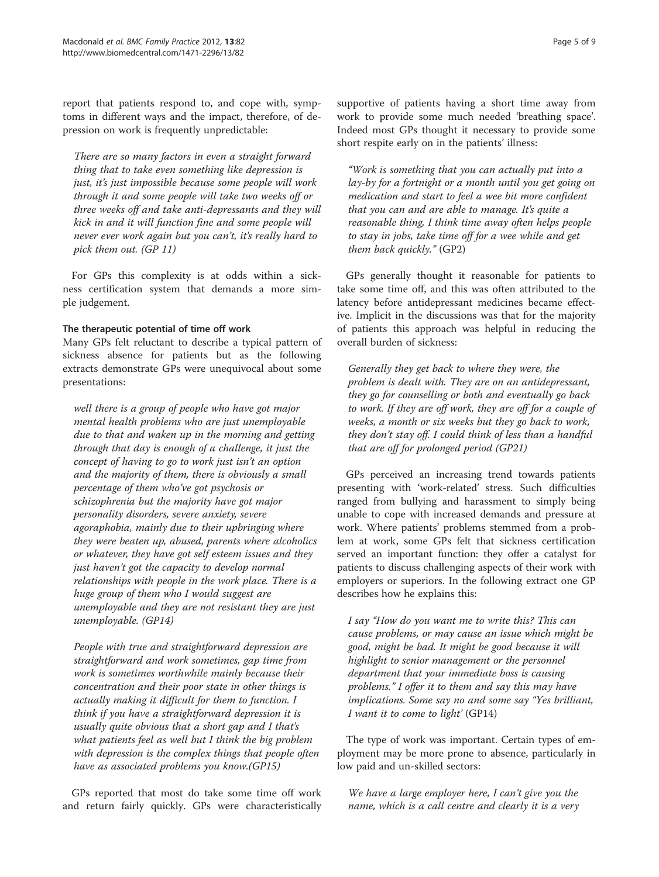report that patients respond to, and cope with, symptoms in different ways and the impact, therefore, of depression on work is frequently unpredictable:

There are so many factors in even a straight forward thing that to take even something like depression is just, it's just impossible because some people will work through it and some people will take two weeks off or three weeks off and take anti-depressants and they will kick in and it will function fine and some people will never ever work again but you can't, it's really hard to pick them out. (GP 11)

For GPs this complexity is at odds within a sickness certification system that demands a more simple judgement.

#### The therapeutic potential of time off work

Many GPs felt reluctant to describe a typical pattern of sickness absence for patients but as the following extracts demonstrate GPs were unequivocal about some presentations:

well there is a group of people who have got major mental health problems who are just unemployable due to that and waken up in the morning and getting through that day is enough of a challenge, it just the concept of having to go to work just isn't an option and the majority of them, there is obviously a small percentage of them who've got psychosis or schizophrenia but the majority have got major personality disorders, severe anxiety, severe agoraphobia, mainly due to their upbringing where they were beaten up, abused, parents where alcoholics or whatever, they have got self esteem issues and they just haven't got the capacity to develop normal relationships with people in the work place. There is a huge group of them who I would suggest are unemployable and they are not resistant they are just unemployable. (GP14)

People with true and straightforward depression are straightforward and work sometimes, gap time from work is sometimes worthwhile mainly because their concentration and their poor state in other things is actually making it difficult for them to function. I think if you have a straightforward depression it is usually quite obvious that a short gap and I that's what patients feel as well but I think the big problem with depression is the complex things that people often have as associated problems you know.(GP15)

GPs reported that most do take some time off work and return fairly quickly. GPs were characteristically

supportive of patients having a short time away from work to provide some much needed 'breathing space'. Indeed most GPs thought it necessary to provide some short respite early on in the patients' illness:

"Work is something that you can actually put into a lay-by for a fortnight or a month until you get going on medication and start to feel a wee bit more confident that you can and are able to manage. It's quite a reasonable thing, I think time away often helps people to stay in jobs, take time off for a wee while and get them back quickly." (GP2)

GPs generally thought it reasonable for patients to take some time off, and this was often attributed to the latency before antidepressant medicines became effective. Implicit in the discussions was that for the majority of patients this approach was helpful in reducing the overall burden of sickness:

Generally they get back to where they were, the problem is dealt with. They are on an antidepressant, they go for counselling or both and eventually go back to work. If they are off work, they are off for a couple of weeks, a month or six weeks but they go back to work, they don't stay off. I could think of less than a handful that are off for prolonged period (GP21)

GPs perceived an increasing trend towards patients presenting with 'work-related' stress. Such difficulties ranged from bullying and harassment to simply being unable to cope with increased demands and pressure at work. Where patients' problems stemmed from a problem at work, some GPs felt that sickness certification served an important function: they offer a catalyst for patients to discuss challenging aspects of their work with employers or superiors. In the following extract one GP describes how he explains this:

I say "How do you want me to write this? This can cause problems, or may cause an issue which might be good, might be bad. It might be good because it will highlight to senior management or the personnel department that your immediate boss is causing problems." I offer it to them and say this may have implications. Some say no and some say "Yes brilliant, I want it to come to light' (GP14)

The type of work was important. Certain types of employment may be more prone to absence, particularly in low paid and un-skilled sectors:

We have a large employer here, I can't give you the name, which is a call centre and clearly it is a very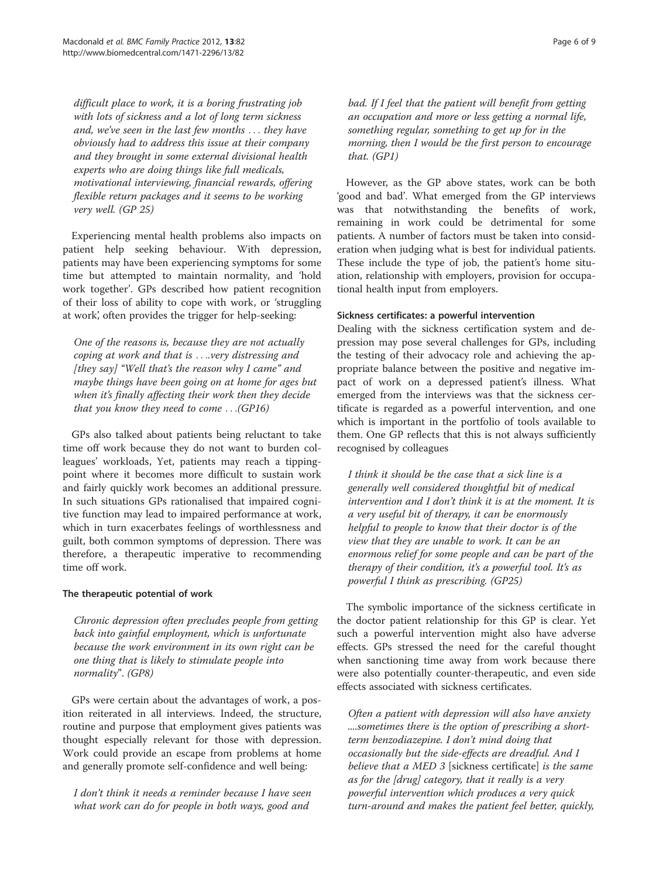difficult place to work, it is a boring frustrating job with lots of sickness and a lot of long term sickness and, we've seen in the last few months ... they have obviously had to address this issue at their company and they brought in some external divisional health experts who are doing things like full medicals, motivational interviewing, financial rewards, offering flexible return packages and it seems to be working very well. (GP 25)

Experiencing mental health problems also impacts on patient help seeking behaviour. With depression, patients may have been experiencing symptoms for some time but attempted to maintain normality, and 'hold work together'. GPs described how patient recognition of their loss of ability to cope with work, or 'struggling at work', often provides the trigger for help-seeking:

One of the reasons is, because they are not actually coping at work and that is ....very distressing and  $[$ they say $]$  "Well that's the reason why I came" and maybe things have been going on at home for ages but when it's finally affecting their work then they decide that you know they need to come  $\ldots$  (GP16)

GPs also talked about patients being reluctant to take time off work because they do not want to burden colleagues' workloads, Yet, patients may reach a tippingpoint where it becomes more difficult to sustain work and fairly quickly work becomes an additional pressure. In such situations GPs rationalised that impaired cognitive function may lead to impaired performance at work, which in turn exacerbates feelings of worthlessness and guilt, both common symptoms of depression. There was therefore, a therapeutic imperative to recommending time off work.

# The therapeutic potential of work

Chronic depression often precludes people from getting back into gainful employment, which is unfortunate because the work environment in its own right can be one thing that is likely to stimulate people into normality". (GP8)

GPs were certain about the advantages of work, a position reiterated in all interviews. Indeed, the structure, routine and purpose that employment gives patients was thought especially relevant for those with depression. Work could provide an escape from problems at home and generally promote self-confidence and well being:

I don't think it needs a reminder because I have seen what work can do for people in both ways, good and

bad. If I feel that the patient will benefit from getting an occupation and more or less getting a normal life, something regular, something to get up for in the morning, then I would be the first person to encourage that. (GP1)

However, as the GP above states, work can be both 'good and bad'. What emerged from the GP interviews was that notwithstanding the benefits of work, remaining in work could be detrimental for some patients. A number of factors must be taken into consideration when judging what is best for individual patients. These include the type of job, the patient's home situation, relationship with employers, provision for occupational health input from employers.

# Sickness certificates: a powerful intervention

Dealing with the sickness certification system and depression may pose several challenges for GPs, including the testing of their advocacy role and achieving the appropriate balance between the positive and negative impact of work on a depressed patient's illness. What emerged from the interviews was that the sickness certificate is regarded as a powerful intervention, and one which is important in the portfolio of tools available to them. One GP reflects that this is not always sufficiently recognised by colleagues

I think it should be the case that a sick line is a generally well considered thoughtful bit of medical intervention and I don't think it is at the moment. It is a very useful bit of therapy, it can be enormously helpful to people to know that their doctor is of the view that they are unable to work. It can be an enormous relief for some people and can be part of the therapy of their condition, it's a powerful tool. It's as powerful I think as prescribing. (GP25)

The symbolic importance of the sickness certificate in the doctor patient relationship for this GP is clear. Yet such a powerful intervention might also have adverse effects. GPs stressed the need for the careful thought when sanctioning time away from work because there were also potentially counter-therapeutic, and even side effects associated with sickness certificates.

Often a patient with depression will also have anxiety ....sometimes there is the option of prescribing a shortterm benzodiazepine. I don't mind doing that occasionally but the side-effects are dreadful. And I believe that a MED 3 [sickness certificate] is the same as for the [drug] category, that it really is a very powerful intervention which produces a very quick turn-around and makes the patient feel better, quickly,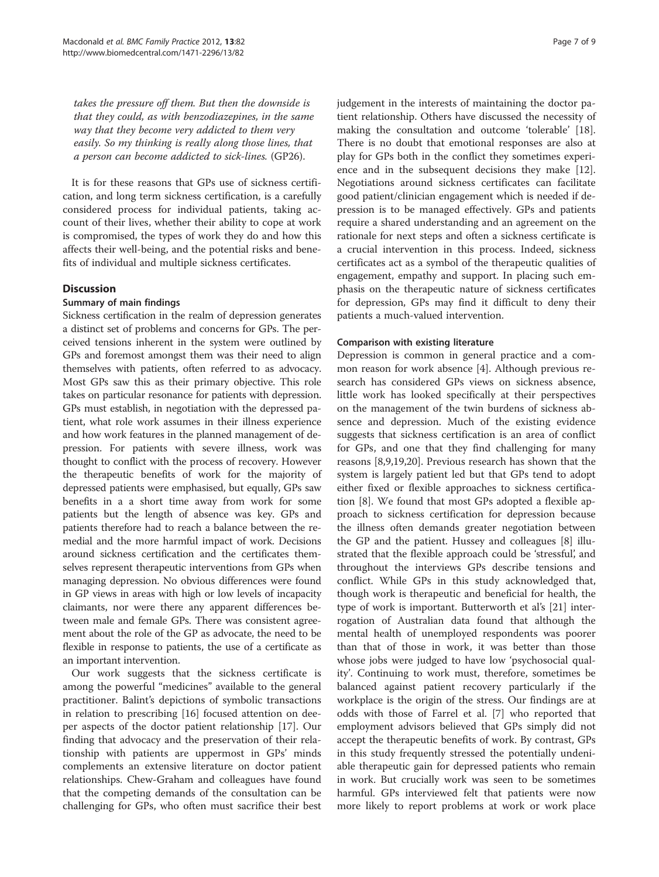takes the pressure off them. But then the downside is that they could, as with benzodiazepines, in the same way that they become very addicted to them very easily. So my thinking is really along those lines, that a person can become addicted to sick-lines. (GP26).

It is for these reasons that GPs use of sickness certification, and long term sickness certification, is a carefully considered process for individual patients, taking account of their lives, whether their ability to cope at work is compromised, the types of work they do and how this affects their well-being, and the potential risks and benefits of individual and multiple sickness certificates.

# **Discussion**

# Summary of main findings

Sickness certification in the realm of depression generates a distinct set of problems and concerns for GPs. The perceived tensions inherent in the system were outlined by GPs and foremost amongst them was their need to align themselves with patients, often referred to as advocacy. Most GPs saw this as their primary objective. This role takes on particular resonance for patients with depression. GPs must establish, in negotiation with the depressed patient, what role work assumes in their illness experience and how work features in the planned management of depression. For patients with severe illness, work was thought to conflict with the process of recovery. However the therapeutic benefits of work for the majority of depressed patients were emphasised, but equally, GPs saw benefits in a a short time away from work for some patients but the length of absence was key. GPs and patients therefore had to reach a balance between the remedial and the more harmful impact of work. Decisions around sickness certification and the certificates themselves represent therapeutic interventions from GPs when managing depression. No obvious differences were found in GP views in areas with high or low levels of incapacity claimants, nor were there any apparent differences between male and female GPs. There was consistent agreement about the role of the GP as advocate, the need to be flexible in response to patients, the use of a certificate as an important intervention.

Our work suggests that the sickness certificate is among the powerful "medicines" available to the general practitioner. Balint's depictions of symbolic transactions in relation to prescribing [\[16](#page-8-0)] focused attention on deeper aspects of the doctor patient relationship [[17\]](#page-8-0). Our finding that advocacy and the preservation of their relationship with patients are uppermost in GPs' minds complements an extensive literature on doctor patient relationships. Chew-Graham and colleagues have found that the competing demands of the consultation can be challenging for GPs, who often must sacrifice their best judgement in the interests of maintaining the doctor patient relationship. Others have discussed the necessity of making the consultation and outcome 'tolerable' [\[18](#page-8-0)]. There is no doubt that emotional responses are also at play for GPs both in the conflict they sometimes experience and in the subsequent decisions they make [\[12](#page-8-0)]. Negotiations around sickness certificates can facilitate good patient/clinician engagement which is needed if depression is to be managed effectively. GPs and patients require a shared understanding and an agreement on the rationale for next steps and often a sickness certificate is a crucial intervention in this process. Indeed, sickness certificates act as a symbol of the therapeutic qualities of engagement, empathy and support. In placing such emphasis on the therapeutic nature of sickness certificates for depression, GPs may find it difficult to deny their patients a much-valued intervention.

# Comparison with existing literature

Depression is common in general practice and a common reason for work absence [[4\]](#page-7-0). Although previous research has considered GPs views on sickness absence, little work has looked specifically at their perspectives on the management of the twin burdens of sickness absence and depression. Much of the existing evidence suggests that sickness certification is an area of conflict for GPs, and one that they find challenging for many reasons [[8](#page-8-0),[9](#page-8-0),[19](#page-8-0),[20](#page-8-0)]. Previous research has shown that the system is largely patient led but that GPs tend to adopt either fixed or flexible approaches to sickness certification [[8](#page-8-0)]. We found that most GPs adopted a flexible approach to sickness certification for depression because the illness often demands greater negotiation between the GP and the patient. Hussey and colleagues [[8\]](#page-8-0) illustrated that the flexible approach could be 'stressful', and throughout the interviews GPs describe tensions and conflict. While GPs in this study acknowledged that, though work is therapeutic and beneficial for health, the type of work is important. Butterworth et al's [[21](#page-8-0)] interrogation of Australian data found that although the mental health of unemployed respondents was poorer than that of those in work, it was better than those whose jobs were judged to have low 'psychosocial quality'. Continuing to work must, therefore, sometimes be balanced against patient recovery particularly if the workplace is the origin of the stress. Our findings are at odds with those of Farrel et al. [\[7](#page-8-0)] who reported that employment advisors believed that GPs simply did not accept the therapeutic benefits of work. By contrast, GPs in this study frequently stressed the potentially undeniable therapeutic gain for depressed patients who remain in work. But crucially work was seen to be sometimes harmful. GPs interviewed felt that patients were now more likely to report problems at work or work place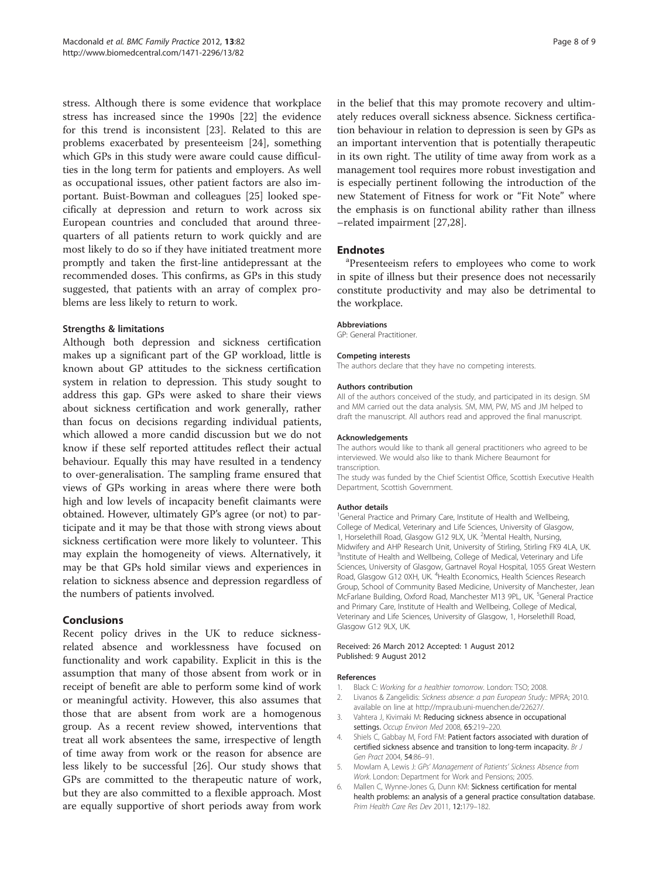<span id="page-7-0"></span>stress. Although there is some evidence that workplace stress has increased since the 1990s [[22\]](#page-8-0) the evidence for this trend is inconsistent [\[23](#page-8-0)]. Related to this are problems exacerbated by presenteeism [\[24\]](#page-8-0), something which GPs in this study were aware could cause difficulties in the long term for patients and employers. As well as occupational issues, other patient factors are also important. Buist-Bowman and colleagues [\[25\]](#page-8-0) looked specifically at depression and return to work across six European countries and concluded that around threequarters of all patients return to work quickly and are most likely to do so if they have initiated treatment more promptly and taken the first-line antidepressant at the recommended doses. This confirms, as GPs in this study suggested, that patients with an array of complex problems are less likely to return to work.

#### Strengths & limitations

Although both depression and sickness certification makes up a significant part of the GP workload, little is known about GP attitudes to the sickness certification system in relation to depression. This study sought to address this gap. GPs were asked to share their views about sickness certification and work generally, rather than focus on decisions regarding individual patients, which allowed a more candid discussion but we do not know if these self reported attitudes reflect their actual behaviour. Equally this may have resulted in a tendency to over-generalisation. The sampling frame ensured that views of GPs working in areas where there were both high and low levels of incapacity benefit claimants were obtained. However, ultimately GP's agree (or not) to participate and it may be that those with strong views about sickness certification were more likely to volunteer. This may explain the homogeneity of views. Alternatively, it may be that GPs hold similar views and experiences in relation to sickness absence and depression regardless of the numbers of patients involved.

# Conclusions

Recent policy drives in the UK to reduce sicknessrelated absence and worklessness have focused on functionality and work capability. Explicit in this is the assumption that many of those absent from work or in receipt of benefit are able to perform some kind of work or meaningful activity. However, this also assumes that those that are absent from work are a homogenous group. As a recent review showed, interventions that treat all work absentees the same, irrespective of length of time away from work or the reason for absence are less likely to be successful [\[26](#page-8-0)]. Our study shows that GPs are committed to the therapeutic nature of work, but they are also committed to a flexible approach. Most are equally supportive of short periods away from work

in the belief that this may promote recovery and ultimately reduces overall sickness absence. Sickness certification behaviour in relation to depression is seen by GPs as an important intervention that is potentially therapeutic in its own right. The utility of time away from work as a management tool requires more robust investigation and is especially pertinent following the introduction of the new Statement of Fitness for work or "Fit Note" where the emphasis is on functional ability rather than illness –related impairment [[27,28](#page-8-0)].

#### **Endnotes**

<sup>a</sup>Presenteeism refers to employees who come to work in spite of illness but their presence does not necessarily constitute productivity and may also be detrimental to the workplace.

#### Abbreviations

GP: General Practitioner.

#### Competing interests

The authors declare that they have no competing interests.

#### Authors contribution

All of the authors conceived of the study, and participated in its design. SM and MM carried out the data analysis. SM, MM, PW, MS and JM helped to draft the manuscript. All authors read and approved the final manuscript.

#### Acknowledgements

The authors would like to thank all general practitioners who agreed to be interviewed. We would also like to thank Michere Beaumont for transcription.

The study was funded by the Chief Scientist Office, Scottish Executive Health Department, Scottish Government.

#### Author details

<sup>1</sup>General Practice and Primary Care, Institute of Health and Wellbeing, College of Medical, Veterinary and Life Sciences, University of Glasgow, 1, Horselethill Road, Glasgow G12 9LX, UK. <sup>2</sup>Mental Health, Nursing Midwifery and AHP Research Unit, University of Stirling, Stirling FK9 4LA, UK. <sup>3</sup>Institute of Health and Wellbeing, College of Medical, Veterinary and Life Sciences, University of Glasgow, Gartnavel Royal Hospital, 1055 Great Western Road, Glasgow G12 0XH, UK. <sup>4</sup>Health Economics, Health Sciences Research Group, School of Community Based Medicine, University of Manchester, Jean McFarlane Building, Oxford Road, Manchester M13 9PL, UK. <sup>5</sup>General Practice and Primary Care, Institute of Health and Wellbeing, College of Medical, Veterinary and Life Sciences, University of Glasgow, 1, Horselethill Road, Glasgow G12 9LX, UK.

#### Received: 26 March 2012 Accepted: 1 August 2012 Published: 9 August 2012

#### References

- Black C: Working for a healthier tomorrow. London: TSO; 2008.
- 2. Livanos & Zangelidis: Sickness absence: a pan European Study.: MPRA; 2010. available on line at [http://mpra.ub.uni-muenchen.de/22627/.](http://mpra.ub.uni-muenchen.de/22627/)
- 3. Vahtera J, Kivimaki M: Reducing sickness absence in occupational settings. Occup Environ Med 2008, 65:219–220.
- 4. Shiels C, Gabbay M, Ford FM: Patient factors associated with duration of certified sickness absence and transition to long-term incapacity. Br J Gen Pract 2004, 54:86–91.
- 5. Mowlam A, Lewis J: GPs' Management of Patients' Sickness Absence from Work. London: Department for Work and Pensions; 2005.
- 6. Mallen C, Wynne-Jones G, Dunn KM: Sickness certification for mental health problems: an analysis of a general practice consultation database. Prim Health Care Res Dev 2011, 12:179–182.